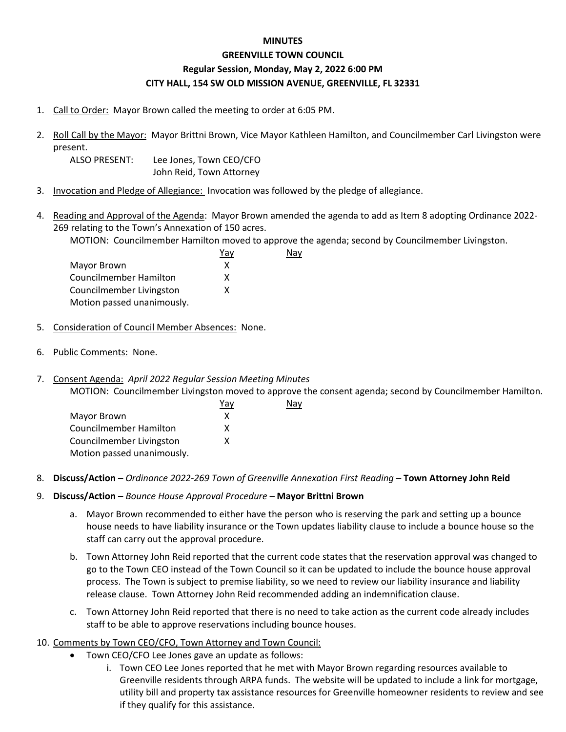## **MINUTES**

## **GREENVILLE TOWN COUNCIL Regular Session, Monday, May 2, 2022 6:00 PM CITY HALL, 154 SW OLD MISSION AVENUE, GREENVILLE, FL 32331**

- 1. Call to Order: Mayor Brown called the meeting to order at 6:05 PM.
- 2. Roll Call by the Mayor: Mayor Brittni Brown, Vice Mayor Kathleen Hamilton, and Councilmember Carl Livingston were present.
	- ALSO PRESENT: Lee Jones, Town CEO/CFO John Reid, Town Attorney
- 3. Invocation and Pledge of Allegiance: Invocation was followed by the pledge of allegiance.
- 4. Reading and Approval of the Agenda: Mayor Brown amended the agenda to add as Item 8 adopting Ordinance 2022- 269 relating to the Town's Annexation of 150 acres.

MOTION: Councilmember Hamilton moved to approve the agenda; second by Councilmember Livingston. Nay

|                            | Yav |
|----------------------------|-----|
| Mayor Brown                | x   |
| Councilmember Hamilton     | x   |
| Councilmember Livingston   | x   |
| Motion passed unanimously. |     |

- 5. Consideration of Council Member Absences: None.
- 6. Public Comments: None.
- 7. Consent Agenda: *April 2022 Regular Session Meeting Minutes*

MOTION: Councilmember Livingston moved to approve the consent agenda; second by Councilmember Hamilton.

Nay

|                            | Yav |
|----------------------------|-----|
| Mayor Brown                | x   |
| Councilmember Hamilton     | x   |
| Councilmember Livingston   | x   |
| Motion passed unanimously. |     |

- 8. **Discuss/Action –** *Ordinance 2022-269 Town of Greenville Annexation First Reading –* **Town Attorney John Reid**
- 9. **Discuss/Action –** *Bounce House Approval Procedure –* **Mayor Brittni Brown**
	- a. Mayor Brown recommended to either have the person who is reserving the park and setting up a bounce house needs to have liability insurance or the Town updates liability clause to include a bounce house so the staff can carry out the approval procedure.
	- b. Town Attorney John Reid reported that the current code states that the reservation approval was changed to go to the Town CEO instead of the Town Council so it can be updated to include the bounce house approval process. The Town is subject to premise liability, so we need to review our liability insurance and liability release clause. Town Attorney John Reid recommended adding an indemnification clause.
	- c. Town Attorney John Reid reported that there is no need to take action as the current code already includes staff to be able to approve reservations including bounce houses.

## 10. Comments by Town CEO/CFO, Town Attorney and Town Council:

- Town CEO/CFO Lee Jones gave an update as follows:
	- i. Town CEO Lee Jones reported that he met with Mayor Brown regarding resources available to Greenville residents through ARPA funds. The website will be updated to include a link for mortgage, utility bill and property tax assistance resources for Greenville homeowner residents to review and see if they qualify for this assistance.